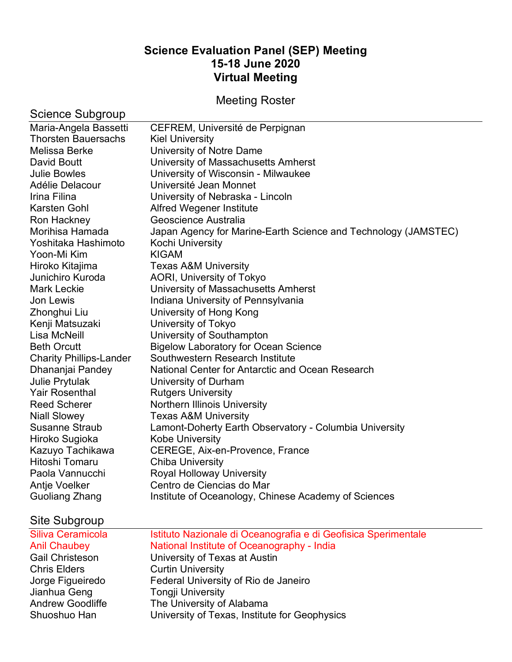# **Science Evaluation Panel (SEP) Meeting 15-18 June 2020 Virtual Meeting**

Meeting Roster

| Science Subgroup               |                                                                |
|--------------------------------|----------------------------------------------------------------|
| Maria-Angela Bassetti          | CEFREM, Université de Perpignan                                |
| <b>Thorsten Bauersachs</b>     | <b>Kiel University</b>                                         |
| Melissa Berke                  | University of Notre Dame                                       |
| David Boutt                    | University of Massachusetts Amherst                            |
| <b>Julie Bowles</b>            | University of Wisconsin - Milwaukee                            |
| Adélie Delacour                | Université Jean Monnet                                         |
| Irina Filina                   | University of Nebraska - Lincoln                               |
| Karsten Gohl                   | <b>Alfred Wegener Institute</b>                                |
| Ron Hackney                    | Geoscience Australia                                           |
| Morihisa Hamada                | Japan Agency for Marine-Earth Science and Technology (JAMSTEC) |
| Yoshitaka Hashimoto            | Kochi University                                               |
| Yoon-Mi Kim                    | <b>KIGAM</b>                                                   |
| Hiroko Kitajima                | <b>Texas A&amp;M University</b>                                |
| Junichiro Kuroda               | AORI, University of Tokyo                                      |
| <b>Mark Leckie</b>             | University of Massachusetts Amherst                            |
| Jon Lewis                      | Indiana University of Pennsylvania                             |
| Zhonghui Liu                   | University of Hong Kong                                        |
| Kenji Matsuzaki                | University of Tokyo                                            |
| Lisa McNeill                   | University of Southampton                                      |
| <b>Beth Orcutt</b>             | <b>Bigelow Laboratory for Ocean Science</b>                    |
| <b>Charity Phillips-Lander</b> | Southwestern Research Institute                                |
| Dhananjai Pandey               | National Center for Antarctic and Ocean Research               |
| <b>Julie Prytulak</b>          | University of Durham                                           |
| <b>Yair Rosenthal</b>          | <b>Rutgers University</b>                                      |
| <b>Reed Scherer</b>            | <b>Northern Illinois University</b>                            |
| <b>Niall Slowey</b>            | <b>Texas A&amp;M University</b>                                |
| <b>Susanne Straub</b>          | Lamont-Doherty Earth Observatory - Columbia University         |
| Hiroko Sugioka                 | <b>Kobe University</b>                                         |
| Kazuyo Tachikawa               | CEREGE, Aix-en-Provence, France                                |
| Hitoshi Tomaru                 | <b>Chiba University</b>                                        |
| Paola Vannucchi                | <b>Royal Holloway University</b>                               |
| Antje Voelker                  | Centro de Ciencias do Mar                                      |
| Guoliang Zhang                 | Institute of Oceanology, Chinese Academy of Sciences           |
|                                |                                                                |
| Site Subgroup                  |                                                                |
| Siliva Ceramicola              | Istituto Nazionale di Oceanografia e di Geofisica Sperimentale |
| <b>Anil Chaubey</b>            | National Institute of Oceanography - India                     |
| <b>Gail Christeson</b>         | University of Texas at Austin                                  |
| <b>Chris Elders</b>            | <b>Curtin University</b>                                       |
| Jorge Figueiredo               | Federal University of Rio de Janeiro                           |
| Jianhua Geng                   | <b>Tongji University</b>                                       |
| <b>Andrew Goodliffe</b>        | The University of Alabama                                      |
| Shuoshuo Han                   | University of Texas, Institute for Geophysics                  |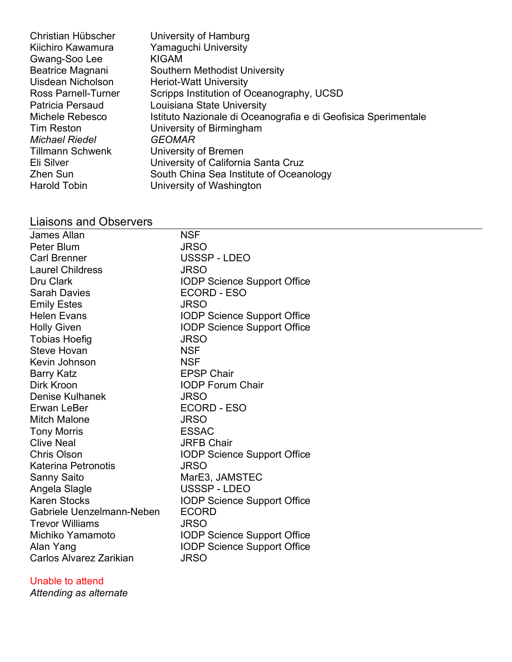| Christian Hübscher         | University of Hamburg                                          |
|----------------------------|----------------------------------------------------------------|
| Kiichiro Kawamura          | Yamaguchi University                                           |
| Gwang-Soo Lee              | <b>KIGAM</b>                                                   |
| Beatrice Magnani           | Southern Methodist University                                  |
| Uisdean Nicholson          | <b>Heriot-Watt University</b>                                  |
| <b>Ross Parnell-Turner</b> | Scripps Institution of Oceanography, UCSD                      |
| Patricia Persaud           | Louisiana State University                                     |
| Michele Rebesco            | Istituto Nazionale di Oceanografia e di Geofisica Sperimentale |
| Tim Reston                 | University of Birmingham                                       |
| Michael Riedel             | <b>GEOMAR</b>                                                  |
| Tillmann Schwenk           | University of Bremen                                           |
| Eli Silver                 | University of California Santa Cruz                            |
| Zhen Sun                   | South China Sea Institute of Oceanology                        |
| Harold Tobin               | University of Washington                                       |
|                            |                                                                |

# Liaisons and Observers

| <b>NSF</b>                         |
|------------------------------------|
| <b>JRSO</b>                        |
| USSSP-LDEO                         |
| <b>JRSO</b>                        |
| <b>IODP Science Support Office</b> |
| ECORD - ESO                        |
| <b>JRSO</b>                        |
| <b>IODP Science Support Office</b> |
| <b>IODP Science Support Office</b> |
| <b>JRSO</b>                        |
| <b>NSF</b>                         |
| <b>NSF</b>                         |
| <b>EPSP Chair</b>                  |
| <b>IODP Forum Chair</b>            |
| <b>JRSO</b>                        |
| ECORD - ESO                        |
| <b>JRSO</b>                        |
| <b>ESSAC</b>                       |
| <b>JRFB Chair</b>                  |
| <b>IODP Science Support Office</b> |
| <b>JRSO</b>                        |
| MarE3, JAMSTEC                     |
| USSSP-LDEO                         |
| <b>IODP Science Support Office</b> |
| <b>ECORD</b>                       |
| <b>JRSO</b>                        |
| <b>IODP Science Support Office</b> |
| <b>IODP Science Support Office</b> |
| <b>JRSO</b>                        |
|                                    |

## Unable to attend

*Attending as alternate*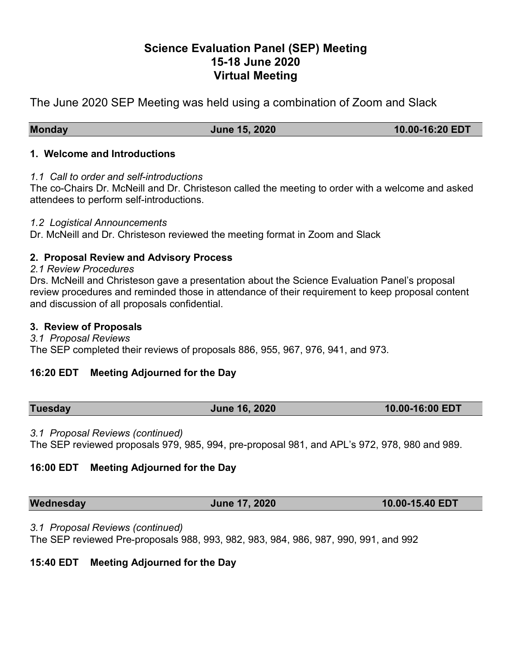# **Science Evaluation Panel (SEP) Meeting 15-18 June 2020 Virtual Meeting**

The June 2020 SEP Meeting was held using a combination of Zoom and Slack

**Monday June 15, 2020 10.00-16:20 EDT**

#### **1. Welcome and Introductions**

## *1.1 Call to order and self-introductions*

The co-Chairs Dr. McNeill and Dr. Christeson called the meeting to order with a welcome and asked attendees to perform self-introductions.

## *1.2 Logistical Announcements*

Dr. McNeill and Dr. Christeson reviewed the meeting format in Zoom and Slack

## **2. Proposal Review and Advisory Process**

#### *2.1 Review Procedures*

Drs. McNeill and Christeson gave a presentation about the Science Evaluation Panel's proposal review procedures and reminded those in attendance of their requirement to keep proposal content and discussion of all proposals confidential.

#### **3. Review of Proposals**

#### *3.1 Proposal Reviews*

The SEP completed their reviews of proposals 886, 955, 967, 976, 941, and 973.

## **16:20 EDT Meeting Adjourned for the Day**

| <b>Tuesday</b> | <b>June 16, 2020</b> | 10.00-16:00 EDT |
|----------------|----------------------|-----------------|
|                |                      |                 |

## *3.1 Proposal Reviews (continued)*

The SEP reviewed proposals 979, 985, 994, pre-proposal 981, and APL's 972, 978, 980 and 989.

## **16:00 EDT Meeting Adjourned for the Day**

*3.1 Proposal Reviews (continued)*

The SEP reviewed Pre-proposals 988, 993, 982, 983, 984, 986, 987, 990, 991, and 992

## **15:40 EDT Meeting Adjourned for the Day**

**Wednesday June 17, 2020 10.00-15.40 EDT**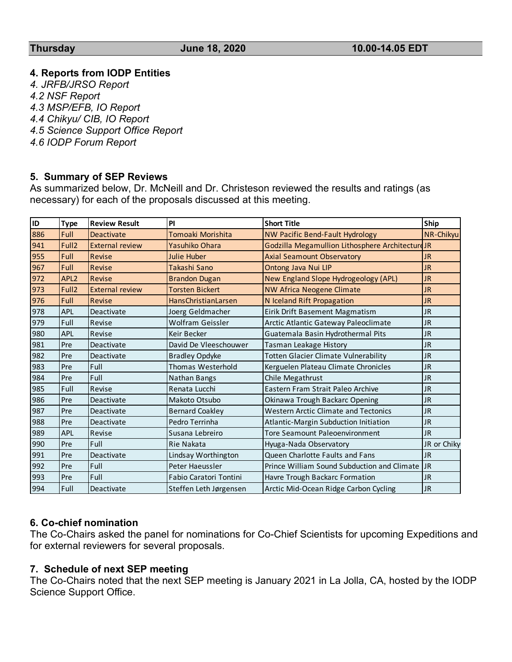#### **4. Reports from IODP Entities**

*4. JRFB/JRSO Report 4.2 NSF Report 4.3 MSP/EFB, IO Report 4.4 Chikyu/ CIB, IO Report 4.5 Science Support Office Report 4.6 IODP Forum Report*

#### **5. Summary of SEP Reviews**

As summarized below, Dr. McNeill and Dr. Christeson reviewed the results and ratings (as necessary) for each of the proposals discussed at this meeting.

| <b>ID</b> | <b>Type</b>       | <b>Review Result</b>   | PI                       | <b>Short Title</b>                               | Ship        |
|-----------|-------------------|------------------------|--------------------------|--------------------------------------------------|-------------|
| 886       | Full              | <b>Deactivate</b>      | Tomoaki Morishita        | NW Pacific Bend-Fault Hydrology                  | NR-Chikyu   |
| 941       | Full <sub>2</sub> | <b>External review</b> | Yasuhiko Ohara           | Godzilla Megamullion Lithosphere Architecture JR |             |
| 955       | <b>Full</b>       | Revise                 | <b>Julie Huber</b>       | <b>Axial Seamount Observatory</b>                | <b>JR</b>   |
| 967       | Full              | <b>Revise</b>          | Takashi Sano             | Ontong Java Nui LIP                              | <b>JR</b>   |
| 972       | APL <sub>2</sub>  | <b>Revise</b>          | <b>Brandon Dugan</b>     | New England Slope Hydrogeology (APL)             | <b>JR</b>   |
| 973       | Full <sub>2</sub> | <b>External review</b> | <b>Torsten Bickert</b>   | <b>NW Africa Neogene Climate</b>                 | <b>JR</b>   |
| 976       | Full              | <b>Revise</b>          | HansChristianLarsen      | N Iceland Rift Propagation                       | <b>JR</b>   |
| 978       | <b>APL</b>        | Deactivate             | Joerg Geldmacher         | Eirik Drift Basement Magmatism                   | <b>JR</b>   |
| 979       | Full              | Revise                 | <b>Wolfram Geissler</b>  | Arctic Atlantic Gateway Paleoclimate             | <b>JR</b>   |
| 980       | APL               | Revise                 | <b>Keir Becker</b>       | Guatemala Basin Hydrothermal Pits                | <b>JR</b>   |
| 981       | Pre               | Deactivate             | David De Vleeschouwer    | Tasman Leakage History                           | <b>JR</b>   |
| 982       | Pre               | Deactivate             | <b>Bradley Opdyke</b>    | <b>Totten Glacier Climate Vulnerability</b>      | <b>JR</b>   |
| 983       | Pre               | Full                   | <b>Thomas Westerhold</b> | Kerguelen Plateau Climate Chronicles             | <b>JR</b>   |
| 984       | Pre               | Full                   | Nathan Bangs             | Chile Megathrust                                 | <b>JR</b>   |
| 985       | Full              | Revise                 | Renata Lucchi            | Eastern Fram Strait Paleo Archive                | <b>JR</b>   |
| 986       | Pre               | Deactivate             | Makoto Otsubo            | Okinawa Trough Backarc Opening                   | <b>JR</b>   |
| 987       | Pre               | Deactivate             | <b>Bernard Coakley</b>   | <b>Western Arctic Climate and Tectonics</b>      | <b>JR</b>   |
| 988       | Pre               | Deactivate             | Pedro Terrinha           | Atlantic-Margin Subduction Initiation            | <b>JR</b>   |
| 989       | APL               | Revise                 | Susana Lebreiro          | <b>Tore Seamount Paleoenvironment</b>            | <b>JR</b>   |
| 990       | Pre               | Full                   | Rie Nakata               | Hyuga-Nada Observatory                           | JR or Chiky |
| 991       | Pre               | Deactivate             | Lindsay Worthington      | Queen Charlotte Faults and Fans                  | <b>JR</b>   |
| 992       | Pre               | Full                   | Peter Haeussler          | Prince William Sound Subduction and Climate      | <b>JR</b>   |
| 993       | Pre               | Full                   | Fabio Caratori Tontini   | Havre Trough Backarc Formation                   | <b>JR</b>   |
| 994       | Full              | Deactivate             | Steffen Leth Jørgensen   | Arctic Mid-Ocean Ridge Carbon Cycling            | <b>JR</b>   |

#### **6. Co-chief nomination**

The Co-Chairs asked the panel for nominations for Co-Chief Scientists for upcoming Expeditions and for external reviewers for several proposals.

## **7. Schedule of next SEP meeting**

The Co-Chairs noted that the next SEP meeting is January 2021 in La Jolla, CA, hosted by the IODP Science Support Office.